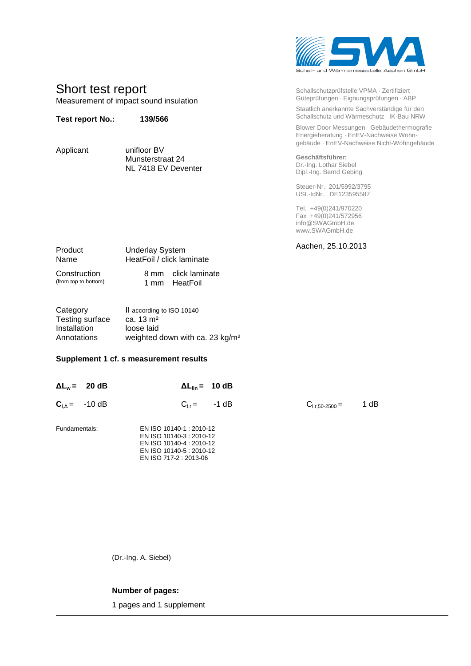

| Schallschutzprüfstelle VPMA · Zertifiziert<br>Güteprüfungen · Eignungsprüfungen · ABP |
|---------------------------------------------------------------------------------------|
| Staatlich anerkannte Sachverständige für den                                          |
| Schallschutz und Wärmeschutz · IK-Bau NRW                                             |

Blower Door Messungen · Gebäudethermografie · Energieberatung · EnEV-Nachweise Wohngebäude EnEV-Nachweise Nicht-Wohngebäude

**Geschäftsführer:** Dr.-Ing. Lothar Siebel Dipl.-Ing. Bernd Gebing

Steuer-Nr. 201/5992/3795 USt.-IdNr. DE123595587

Tel. +49(0)241/970220 Fax +49(0)241/572956 info@SWAGmbH.de www.SWAGmbH.de

Aachen, 25.10.2013

Product Underlay System Name HeatFoil / click laminate

Munsterstraat 24 NL 7418 EV Deventer

Construction 8 mm click laminate<br>
(from top to bottom) 1 mm HeatFoil 1 mm HeatFoil

Short test report

**Test report No.: 139/566**

Applicant unifloor BV

Measurement of impact sound insulation

Category II according to ISO 10140<br>Testing surface  $ca. 13 \text{ m}^2$ Testing surface Installation loose laid Annotations weighted down with ca. 23 kg/m²

## **Supplement 1 cf. s measurement results**

|               | $\Delta L_w = 20 \text{ dB}$ |                                                                                                                                        | $\Delta L_{\text{lin}} = 10 \text{ dB}$ |                     |      |
|---------------|------------------------------|----------------------------------------------------------------------------------------------------------------------------------------|-----------------------------------------|---------------------|------|
|               | $C_{L\Delta}$ = -10 dB       |                                                                                                                                        | $C_{1r} = -1 dB$                        | $C_{1,r,50-2500} =$ | 1 dB |
| Fundamentals: |                              | EN ISO 10140-1 : 2010-12<br>EN ISO 10140-3 : 2010-12<br>EN ISO 10140-4 : 2010-12<br>EN ISO 10140-5 : 2010-12<br>EN ISO 717-2 : 2013-06 |                                         |                     |      |

(Dr.-Ing. A. Siebel)

## **Number of pages:**

1 pages and 1 supplement